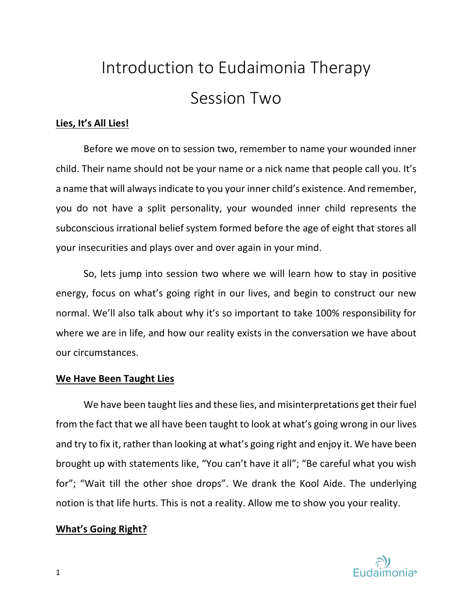# Introduction to Eudaimonia Therapy Session Two

# **Lies, It's All Lies!**

Before we move on to session two, remember to name your wounded inner child. Their name should not be your name or a nick name that people call you. It's a name that will always indicate to you your inner child's existence. And remember, you do not have a split personality, your wounded inner child represents the subconscious irrational belief system formed before the age of eight that stores all your insecurities and plays over and over again in your mind.

So, lets jump into session two where we will learn how to stay in positive energy, focus on what's going right in our lives, and begin to construct our new normal. We'll also talk about why it's so important to take 100% responsibility for where we are in life, and how our reality exists in the conversation we have about our circumstances.

## **We Have Been Taught Lies**

We have been taught lies and these lies, and misinterpretations get their fuel from the fact that we all have been taught to look at what's going wrong in our lives and try to fix it, rather than looking at what's going right and enjoy it. We have been brought up with statements like, "You can't have it all"; "Be careful what you wish for"; "Wait till the other shoe drops". We drank the Kool Aide. The underlying notion is that life hurts. This is not a reality. Allow me to show you your reality.

## **What's Going Right?**

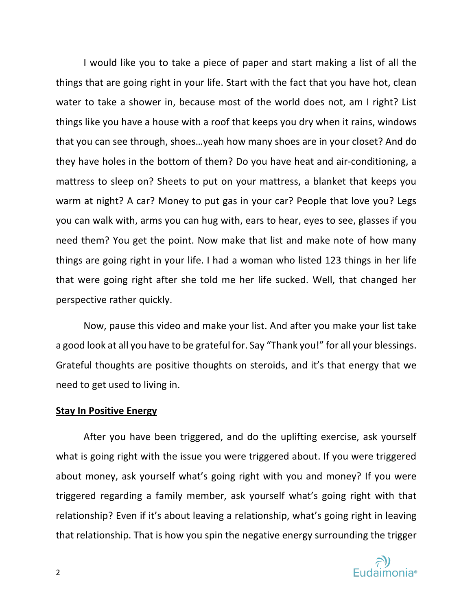I would like you to take a piece of paper and start making a list of all the things that are going right in your life. Start with the fact that you have hot, clean water to take a shower in, because most of the world does not, am I right? List things like you have a house with a roof that keeps you dry when it rains, windows that you can see through, shoes…yeah how many shoes are in your closet? And do they have holes in the bottom of them? Do you have heat and air-conditioning, a mattress to sleep on? Sheets to put on your mattress, a blanket that keeps you warm at night? A car? Money to put gas in your car? People that love you? Legs you can walk with, arms you can hug with, ears to hear, eyes to see, glasses if you need them? You get the point. Now make that list and make note of how many things are going right in your life. I had a woman who listed 123 things in her life that were going right after she told me her life sucked. Well, that changed her perspective rather quickly.

Now, pause this video and make your list. And after you make your list take a good look at all you have to be grateful for. Say "Thank you!" for all your blessings. Grateful thoughts are positive thoughts on steroids, and it's that energy that we need to get used to living in.

## **Stay In Positive Energy**

After you have been triggered, and do the uplifting exercise, ask yourself what is going right with the issue you were triggered about. If you were triggered about money, ask yourself what's going right with you and money? If you were triggered regarding a family member, ask yourself what's going right with that relationship? Even if it's about leaving a relationship, what's going right in leaving that relationship. That is how you spin the negative energy surrounding the trigger

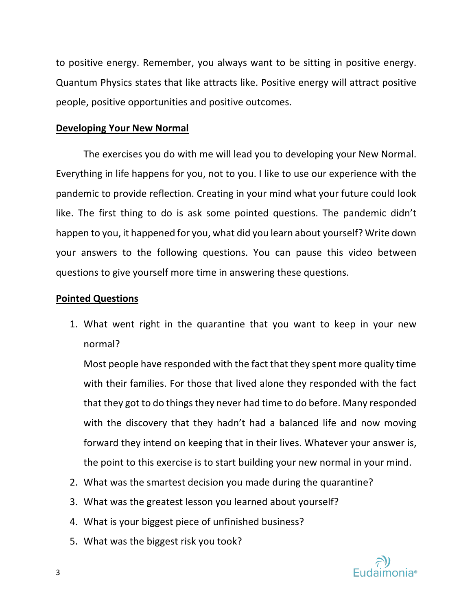to positive energy. Remember, you always want to be sitting in positive energy. Quantum Physics states that like attracts like. Positive energy will attract positive people, positive opportunities and positive outcomes.

## **Developing Your New Normal**

The exercises you do with me will lead you to developing your New Normal. Everything in life happens for you, not to you. I like to use our experience with the pandemic to provide reflection. Creating in your mind what your future could look like. The first thing to do is ask some pointed questions. The pandemic didn't happen to you, it happened for you, what did you learn about yourself? Write down your answers to the following questions. You can pause this video between questions to give yourself more time in answering these questions.

## **Pointed Questions**

1. What went right in the quarantine that you want to keep in your new normal?

Most people have responded with the fact that they spent more quality time with their families. For those that lived alone they responded with the fact that they got to do things they never had time to do before. Many responded with the discovery that they hadn't had a balanced life and now moving forward they intend on keeping that in their lives. Whatever your answer is, the point to this exercise is to start building your new normal in your mind.

- 2. What was the smartest decision you made during the quarantine?
- 3. What was the greatest lesson you learned about yourself?
- 4. What is your biggest piece of unfinished business?
- 5. What was the biggest risk you took?

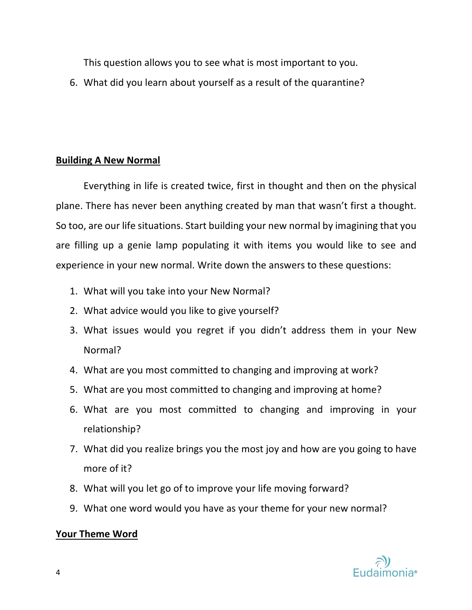This question allows you to see what is most important to you.

6. What did you learn about yourself as a result of the quarantine?

# **Building A New Normal**

Everything in life is created twice, first in thought and then on the physical plane. There has never been anything created by man that wasn't first a thought. So too, are our life situations. Start building your new normal by imagining that you are filling up a genie lamp populating it with items you would like to see and experience in your new normal. Write down the answers to these questions:

- 1. What will you take into your New Normal?
- 2. What advice would you like to give yourself?
- 3. What issues would you regret if you didn't address them in your New Normal?
- 4. What are you most committed to changing and improving at work?
- 5. What are you most committed to changing and improving at home?
- 6. What are you most committed to changing and improving in your relationship?
- 7. What did you realize brings you the most joy and how are you going to have more of it?
- 8. What will you let go of to improve your life moving forward?
- 9. What one word would you have as your theme for your new normal?

# **Your Theme Word**

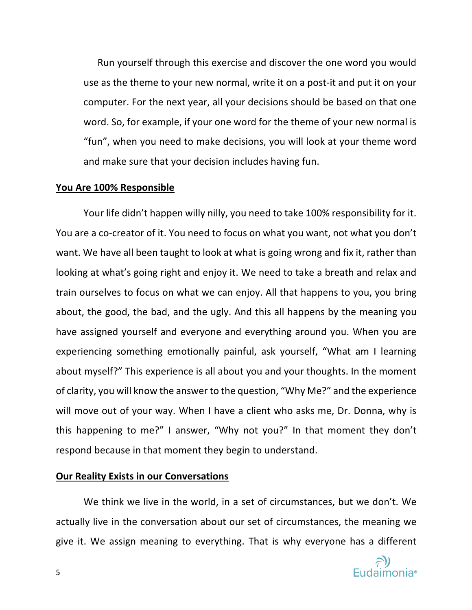Run yourself through this exercise and discover the one word you would use as the theme to your new normal, write it on a post-it and put it on your computer. For the next year, all your decisions should be based on that one word. So, for example, if your one word for the theme of your new normal is "fun", when you need to make decisions, you will look at your theme word and make sure that your decision includes having fun.

#### **You Are 100% Responsible**

Your life didn't happen willy nilly, you need to take 100% responsibility for it. You are a co-creator of it. You need to focus on what you want, not what you don't want. We have all been taught to look at what is going wrong and fix it, rather than looking at what's going right and enjoy it. We need to take a breath and relax and train ourselves to focus on what we can enjoy. All that happens to you, you bring about, the good, the bad, and the ugly. And this all happens by the meaning you have assigned yourself and everyone and everything around you. When you are experiencing something emotionally painful, ask yourself, "What am I learning about myself?" This experience is all about you and your thoughts. In the moment of clarity, you will know the answer to the question, "Why Me?" and the experience will move out of your way. When I have a client who asks me, Dr. Donna, why is this happening to me?" I answer, "Why not you?" In that moment they don't respond because in that moment they begin to understand.

#### **Our Reality Exists in our Conversations**

We think we live in the world, in a set of circumstances, but we don't. We actually live in the conversation about our set of circumstances, the meaning we give it. We assign meaning to everything. That is why everyone has a different

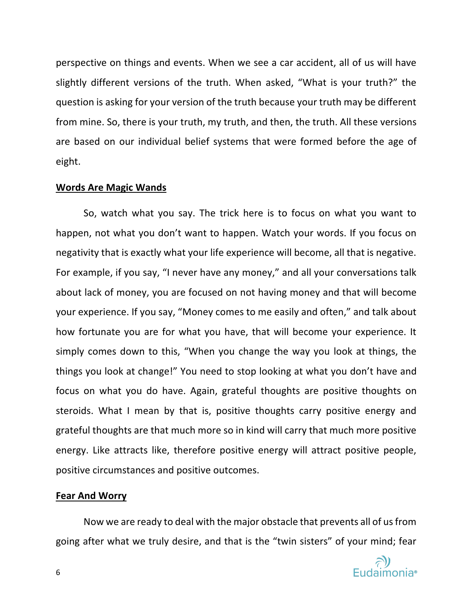perspective on things and events. When we see a car accident, all of us will have slightly different versions of the truth. When asked, "What is your truth?" the question is asking for your version of the truth because your truth may be different from mine. So, there is your truth, my truth, and then, the truth. All these versions are based on our individual belief systems that were formed before the age of eight.

#### **Words Are Magic Wands**

So, watch what you say. The trick here is to focus on what you want to happen, not what you don't want to happen. Watch your words. If you focus on negativity that is exactly what your life experience will become, all that is negative. For example, if you say, "I never have any money," and all your conversations talk about lack of money, you are focused on not having money and that will become your experience. If you say, "Money comes to me easily and often," and talk about how fortunate you are for what you have, that will become your experience. It simply comes down to this, "When you change the way you look at things, the things you look at change!" You need to stop looking at what you don't have and focus on what you do have. Again, grateful thoughts are positive thoughts on steroids. What I mean by that is, positive thoughts carry positive energy and grateful thoughts are that much more so in kind will carry that much more positive energy. Like attracts like, therefore positive energy will attract positive people, positive circumstances and positive outcomes.

## **Fear And Worry**

Now we are ready to deal with the major obstacle that prevents all of us from going after what we truly desire, and that is the "twin sisters" of your mind; fear